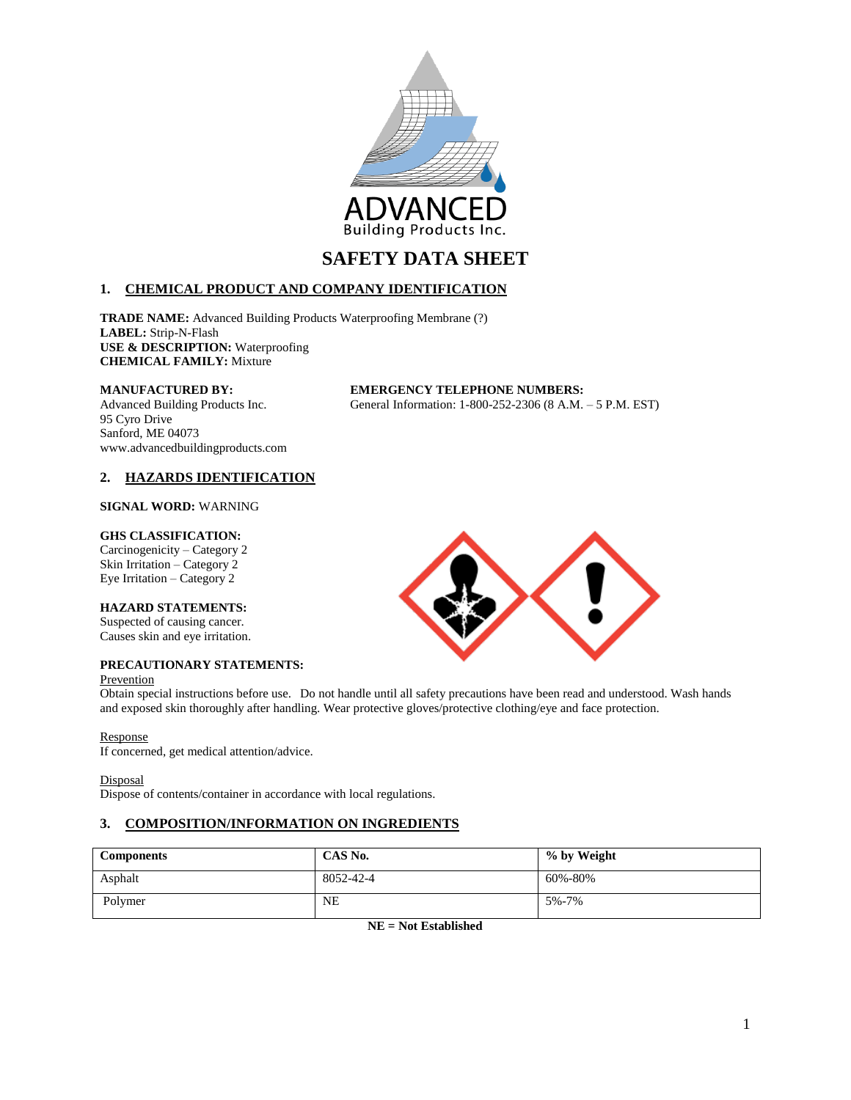

# **1. CHEMICAL PRODUCT AND COMPANY IDENTIFICATION**

**TRADE NAME:** Advanced Building Products Waterproofing Membrane (?) **LABEL:** Strip-N-Flash **USE & DESCRIPTION:** Waterproofing **CHEMICAL FAMILY:** Mixture

95 Cyro Drive Sanford, ME 04073 www.advancedbuildingproducts.com

**MANUFACTURED BY: EMERGENCY TELEPHONE NUMBERS:** Advanced Building Products Inc. General Information: 1-800-252-2306 (8 A.M. – 5 P.M. EST)

# **2. HAZARDS IDENTIFICATION**

### **SIGNAL WORD:** WARNING

#### **GHS CLASSIFICATION:**

Carcinogenicity – Category 2 Skin Irritation – Category 2 Eye Irritation – Category 2

### **HAZARD STATEMENTS:**

Suspected of causing cancer. Causes skin and eye irritation.

# **PRECAUTIONARY STATEMENTS:**

#### Prevention



and exposed skin thoroughly after handling. Wear protective gloves/protective clothing/eye and face protection.

### Response

If concerned, get medical attention/advice.

**Disposal** 

Dispose of contents/container in accordance with local regulations.

# **3. COMPOSITION/INFORMATION ON INGREDIENTS**

| <b>Components</b> | CAS No.   | % by Weight |
|-------------------|-----------|-------------|
| Asphalt           | 8052-42-4 | 60%-80%     |
| Polymer           | <b>NE</b> | 5%-7%       |

**NE = Not Established**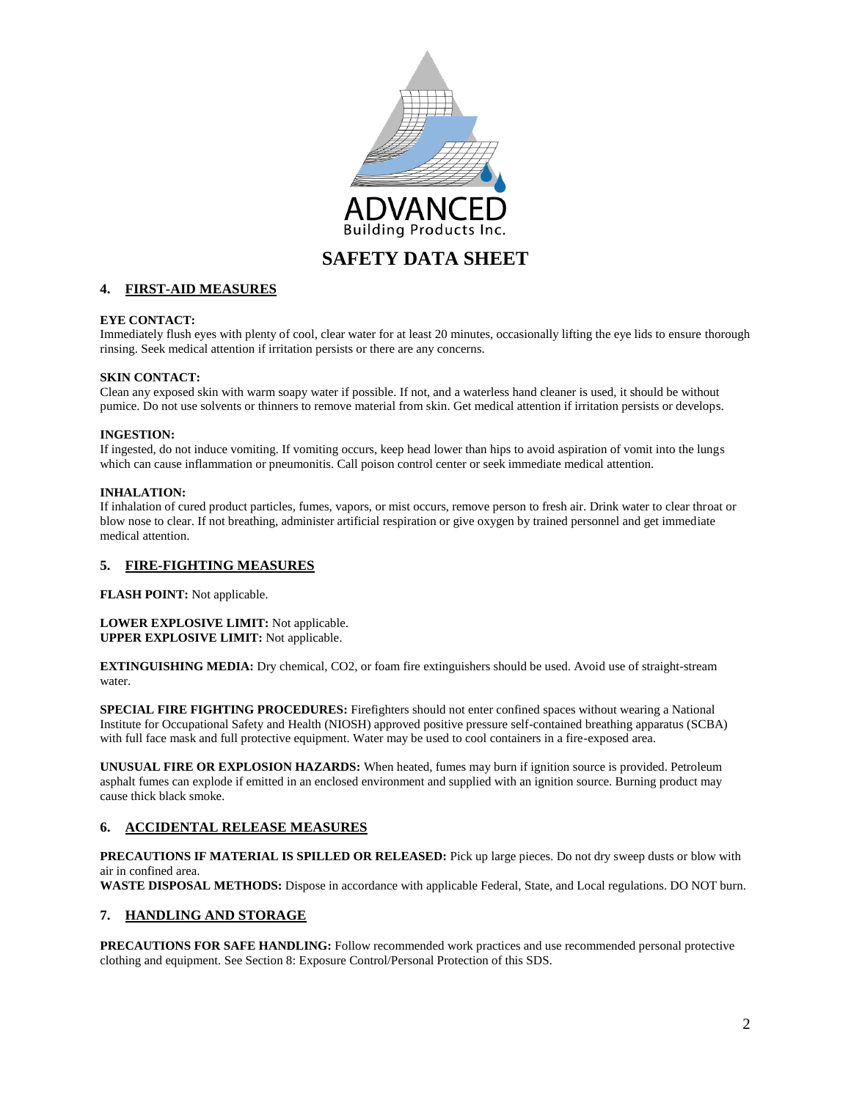

# **4. FIRST-AID MEASURES**

### **EYE CONTACT:**

Immediately flush eyes with plenty of cool, clear water for at least 20 minutes, occasionally lifting the eye lids to ensure thorough rinsing. Seek medical attention if irritation persists or there are any concerns.

### **SKIN CONTACT:**

Clean any exposed skin with warm soapy water if possible. If not, and a waterless hand cleaner is used, it should be without pumice. Do not use solvents or thinners to remove material from skin. Get medical attention if irritation persists or develops.

### **INGESTION:**

If ingested, do not induce vomiting. If vomiting occurs, keep head lower than hips to avoid aspiration of vomit into the lungs which can cause inflammation or pneumonitis. Call poison control center or seek immediate medical attention.

### **INHALATION:**

If inhalation of cured product particles, fumes, vapors, or mist occurs, remove person to fresh air. Drink water to clear throat or blow nose to clear. If not breathing, administer artificial respiration or give oxygen by trained personnel and get immediate medical attention.

# **5. FIRE-FIGHTING MEASURES**

**FLASH POINT:** Not applicable.

#### **LOWER EXPLOSIVE LIMIT:** Not applicable. **UPPER EXPLOSIVE LIMIT:** Not applicable.

**EXTINGUISHING MEDIA:** Dry chemical, CO2, or foam fire extinguishers should be used. Avoid use of straight-stream water.

**SPECIAL FIRE FIGHTING PROCEDURES:** Firefighters should not enter confined spaces without wearing a National Institute for Occupational Safety and Health (NIOSH) approved positive pressure self-contained breathing apparatus (SCBA) with full face mask and full protective equipment. Water may be used to cool containers in a fire-exposed area.

**UNUSUAL FIRE OR EXPLOSION HAZARDS:** When heated, fumes may burn if ignition source is provided. Petroleum asphalt fumes can explode if emitted in an enclosed environment and supplied with an ignition source. Burning product may cause thick black smoke.

### **6. ACCIDENTAL RELEASE MEASURES**

**PRECAUTIONS IF MATERIAL IS SPILLED OR RELEASED:** Pick up large pieces. Do not dry sweep dusts or blow with air in confined area.

**WASTE DISPOSAL METHODS:** Dispose in accordance with applicable Federal, State, and Local regulations. DO NOT burn.

### **7. HANDLING AND STORAGE**

**PRECAUTIONS FOR SAFE HANDLING:** Follow recommended work practices and use recommended personal protective clothing and equipment. See Section 8: Exposure Control/Personal Protection of this SDS.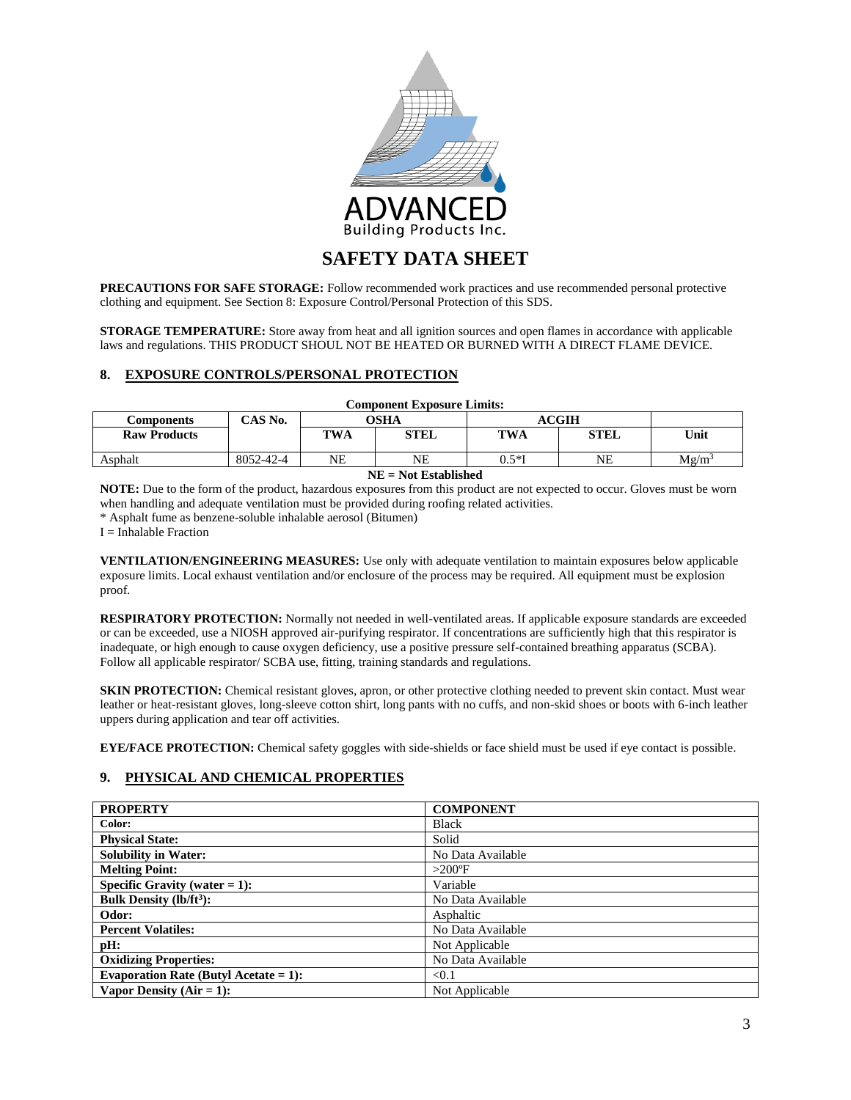

**PRECAUTIONS FOR SAFE STORAGE:** Follow recommended work practices and use recommended personal protective clothing and equipment. See Section 8: Exposure Control/Personal Protection of this SDS.

**STORAGE TEMPERATURE:** Store away from heat and all ignition sources and open flames in accordance with applicable laws and regulations. THIS PRODUCT SHOUL NOT BE HEATED OR BURNED WITH A DIRECT FLAME DEVICE.

### **8. EXPOSURE CONTROLS/PERSONAL PROTECTION**

| <b>Component Exposure Limits:</b> |           |            |             |            |              |          |
|-----------------------------------|-----------|------------|-------------|------------|--------------|----------|
| Components                        | CAS No.   |            | OSHA        |            | <b>ACGIH</b> |          |
| <b>Raw Products</b>               |           | <b>TWA</b> | <b>STEL</b> | <b>TWA</b> | <b>STEL</b>  | Unit     |
| Asphalt                           | 8052-42-4 | NE         | NΕ          | $0.5*$ I   | NE           | $Mg/m^3$ |
| MID - Maa Ibaal Balaal            |           |            |             |            |              |          |

#### **NE = Not Established**

**NOTE:** Due to the form of the product, hazardous exposures from this product are not expected to occur. Gloves must be worn when handling and adequate ventilation must be provided during roofing related activities.

\* Asphalt fume as benzene-soluble inhalable aerosol (Bitumen)

 $I = Inhalable Fraction$ 

**VENTILATION/ENGINEERING MEASURES:** Use only with adequate ventilation to maintain exposures below applicable exposure limits. Local exhaust ventilation and/or enclosure of the process may be required. All equipment must be explosion proof.

**RESPIRATORY PROTECTION:** Normally not needed in well-ventilated areas. If applicable exposure standards are exceeded or can be exceeded, use a NIOSH approved air-purifying respirator. If concentrations are sufficiently high that this respirator is inadequate, or high enough to cause oxygen deficiency, use a positive pressure self-contained breathing apparatus (SCBA). Follow all applicable respirator/ SCBA use, fitting, training standards and regulations.

**SKIN PROTECTION:** Chemical resistant gloves, apron, or other protective clothing needed to prevent skin contact. Must wear leather or heat-resistant gloves, long-sleeve cotton shirt, long pants with no cuffs, and non-skid shoes or boots with 6-inch leather uppers during application and tear off activities.

**EYE/FACE PROTECTION:** Chemical safety goggles with side-shields or face shield must be used if eye contact is possible.

### **9. PHYSICAL AND CHEMICAL PROPERTIES**

| <b>PROPERTY</b>                          | <b>COMPONENT</b>  |
|------------------------------------------|-------------------|
| Color:                                   | <b>Black</b>      |
| <b>Physical State:</b>                   | Solid             |
| <b>Solubility in Water:</b>              | No Data Available |
| <b>Melting Point:</b>                    | $>200^\circ F$    |
| Specific Gravity (water $= 1$ ):         | Variable          |
| Bulk Density $(lb/ft^3)$ :               | No Data Available |
| Odor:                                    | Asphaltic         |
| <b>Percent Volatiles:</b>                | No Data Available |
| pH:                                      | Not Applicable    |
| <b>Oxidizing Properties:</b>             | No Data Available |
| Evaporation Rate (Butyl Acetate = $1$ ): | < 0.1             |
| Vapor Density $(Air = 1)$ :              | Not Applicable    |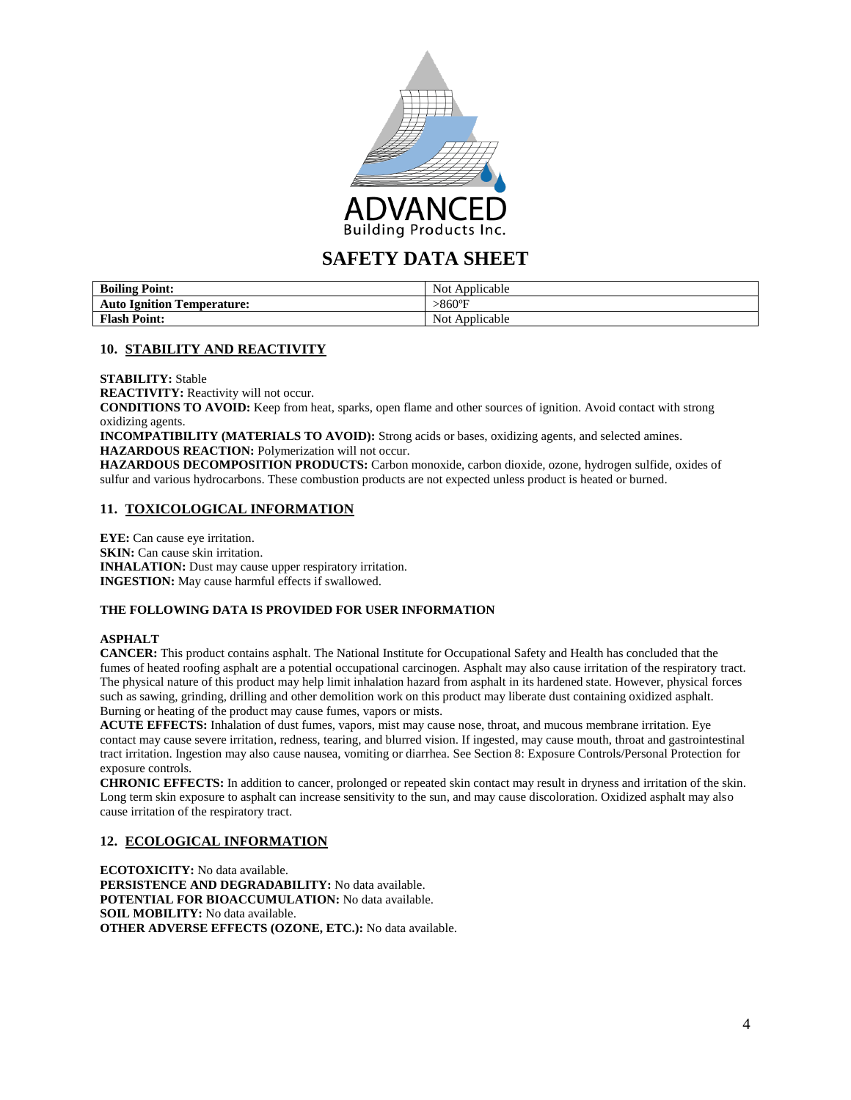

| <b>Boiling Point:</b>             | Not Applicable |
|-----------------------------------|----------------|
| <b>Auto Ignition Temperature:</b> | >860°F         |
| <b>Flash Point:</b>               | Not Applicable |

## **10. STABILITY AND REACTIVITY**

**STABILITY:** Stable

**REACTIVITY:** Reactivity will not occur.

**CONDITIONS TO AVOID:** Keep from heat, sparks, open flame and other sources of ignition. Avoid contact with strong oxidizing agents.

**INCOMPATIBILITY (MATERIALS TO AVOID):** Strong acids or bases, oxidizing agents, and selected amines. **HAZARDOUS REACTION:** Polymerization will not occur.

**HAZARDOUS DECOMPOSITION PRODUCTS:** Carbon monoxide, carbon dioxide, ozone, hydrogen sulfide, oxides of sulfur and various hydrocarbons. These combustion products are not expected unless product is heated or burned.

# **11. TOXICOLOGICAL INFORMATION**

**EYE:** Can cause eye irritation. **SKIN:** Can cause skin irritation. **INHALATION:** Dust may cause upper respiratory irritation. **INGESTION:** May cause harmful effects if swallowed.

### **THE FOLLOWING DATA IS PROVIDED FOR USER INFORMATION**

### **ASPHALT**

**CANCER:** This product contains asphalt. The National Institute for Occupational Safety and Health has concluded that the fumes of heated roofing asphalt are a potential occupational carcinogen. Asphalt may also cause irritation of the respiratory tract. The physical nature of this product may help limit inhalation hazard from asphalt in its hardened state. However, physical forces such as sawing, grinding, drilling and other demolition work on this product may liberate dust containing oxidized asphalt. Burning or heating of the product may cause fumes, vapors or mists.

**ACUTE EFFECTS:** Inhalation of dust fumes, vapors, mist may cause nose, throat, and mucous membrane irritation. Eye contact may cause severe irritation, redness, tearing, and blurred vision. If ingested, may cause mouth, throat and gastrointestinal tract irritation. Ingestion may also cause nausea, vomiting or diarrhea. See Section 8: Exposure Controls/Personal Protection for exposure controls.

**CHRONIC EFFECTS:** In addition to cancer, prolonged or repeated skin contact may result in dryness and irritation of the skin. Long term skin exposure to asphalt can increase sensitivity to the sun, and may cause discoloration. Oxidized asphalt may also cause irritation of the respiratory tract.

### **12. ECOLOGICAL INFORMATION**

**ECOTOXICITY:** No data available. **PERSISTENCE AND DEGRADABILITY:** No data available. **POTENTIAL FOR BIOACCUMULATION:** No data available. **SOIL MOBILITY:** No data available. **OTHER ADVERSE EFFECTS (OZONE, ETC.):** No data available.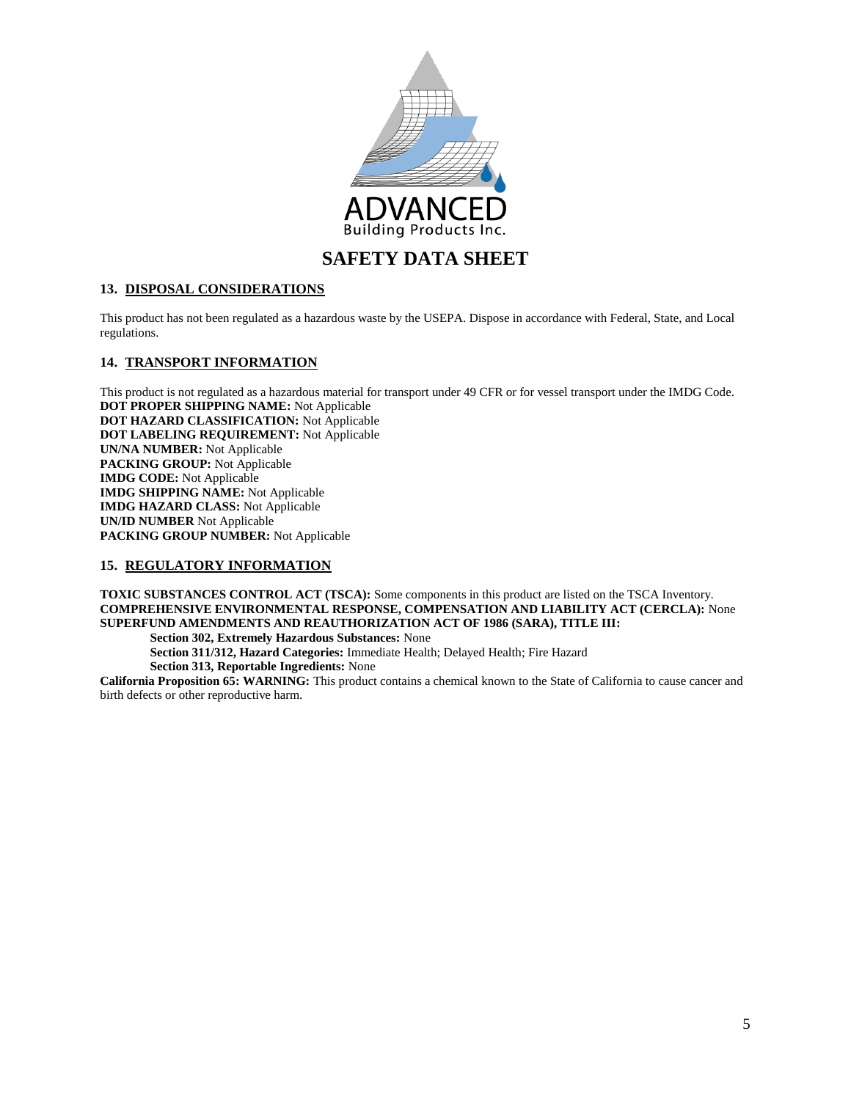

# **13. DISPOSAL CONSIDERATIONS**

This product has not been regulated as a hazardous waste by the USEPA. Dispose in accordance with Federal, State, and Local regulations.

## **14. TRANSPORT INFORMATION**

This product is not regulated as a hazardous material for transport under 49 CFR or for vessel transport under the IMDG Code. **DOT PROPER SHIPPING NAME:** Not Applicable **DOT HAZARD CLASSIFICATION:** Not Applicable **DOT LABELING REQUIREMENT:** Not Applicable **UN/NA NUMBER:** Not Applicable **PACKING GROUP:** Not Applicable **IMDG CODE:** Not Applicable **IMDG SHIPPING NAME:** Not Applicable **IMDG HAZARD CLASS:** Not Applicable **UN/ID NUMBER** Not Applicable **PACKING GROUP NUMBER:** Not Applicable

# **15. REGULATORY INFORMATION**

**TOXIC SUBSTANCES CONTROL ACT (TSCA):** Some components in this product are listed on the TSCA Inventory. **COMPREHENSIVE ENVIRONMENTAL RESPONSE, COMPENSATION AND LIABILITY ACT (CERCLA):** None **SUPERFUND AMENDMENTS AND REAUTHORIZATION ACT OF 1986 (SARA), TITLE III:**

**Section 302, Extremely Hazardous Substances:** None **Section 311/312, Hazard Categories:** Immediate Health; Delayed Health; Fire Hazard **Section 313, Reportable Ingredients:** None **California Proposition 65: WARNING:** This product contains a chemical known to the State of California to cause cancer and

birth defects or other reproductive harm.